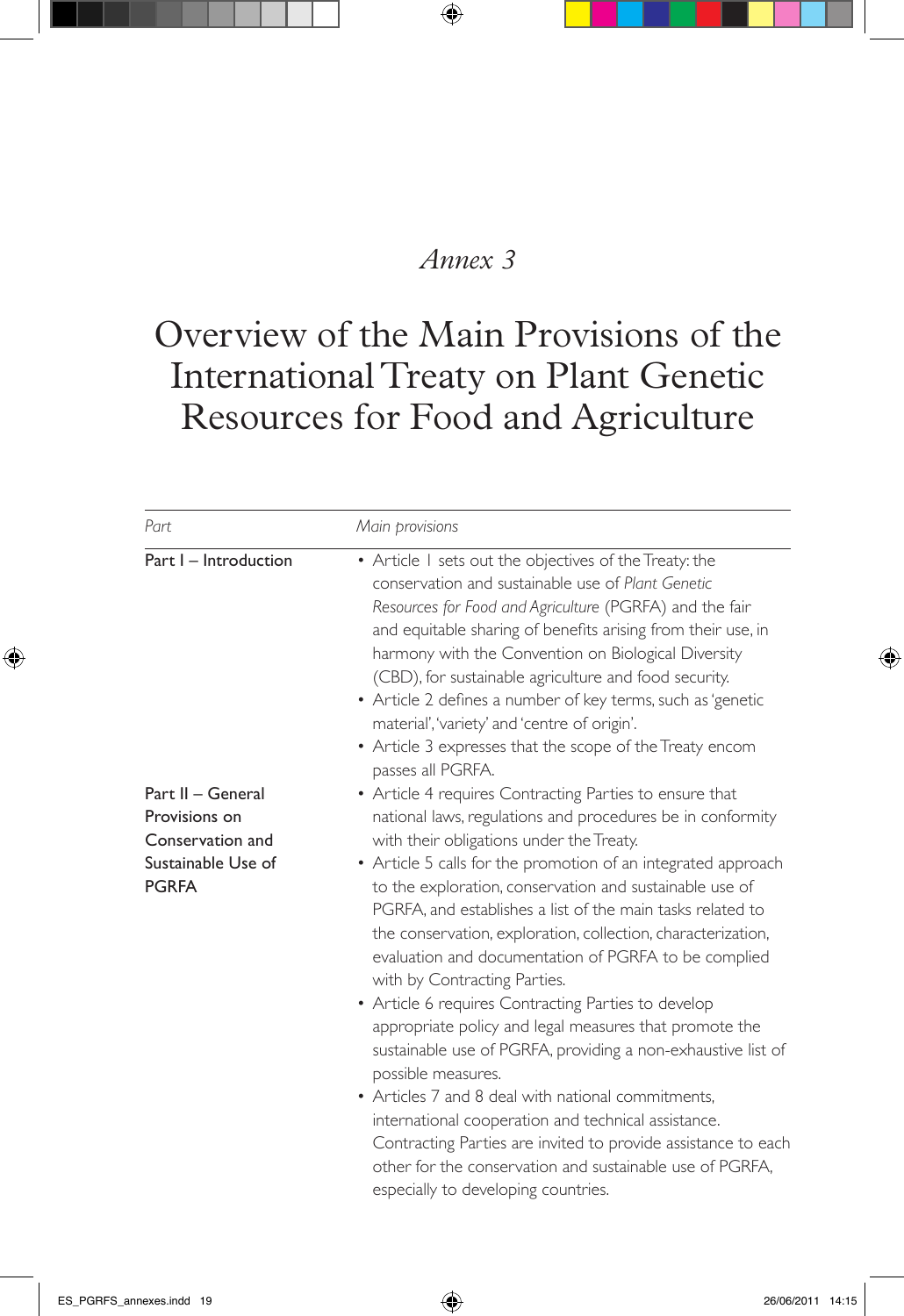### *Annex 3*

# Overview of the Main Provisions of the International Treaty on Plant Genetic Resources for Food and Agriculture

| Part                                                                                         | Main provisions                                                                                                                                                                                                                                                                                                                                                                                                                                                                                                                                                                                                                                                                                                                                                                                                                                                                                                                                                                                             |
|----------------------------------------------------------------------------------------------|-------------------------------------------------------------------------------------------------------------------------------------------------------------------------------------------------------------------------------------------------------------------------------------------------------------------------------------------------------------------------------------------------------------------------------------------------------------------------------------------------------------------------------------------------------------------------------------------------------------------------------------------------------------------------------------------------------------------------------------------------------------------------------------------------------------------------------------------------------------------------------------------------------------------------------------------------------------------------------------------------------------|
| Part I - Introduction                                                                        | • Article I sets out the objectives of the Treaty: the<br>conservation and sustainable use of Plant Genetic<br>Resources for Food and Agriculture (PGRFA) and the fair<br>and equitable sharing of benefits arising from their use, in<br>harmony with the Convention on Biological Diversity<br>(CBD), for sustainable agriculture and food security.<br>• Article 2 defines a number of key terms, such as 'genetic<br>material', 'variety' and 'centre of origin'.<br>• Article 3 expresses that the scope of the Treaty encom<br>passes all PGRFA.                                                                                                                                                                                                                                                                                                                                                                                                                                                      |
| Part II - General<br>Provisions on<br>Conservation and<br>Sustainable Use of<br><b>PGRFA</b> | • Article 4 requires Contracting Parties to ensure that<br>national laws, regulations and procedures be in conformity<br>with their obligations under the Treaty.<br>• Article 5 calls for the promotion of an integrated approach<br>to the exploration, conservation and sustainable use of<br>PGRFA, and establishes a list of the main tasks related to<br>the conservation, exploration, collection, characterization,<br>evaluation and documentation of PGRFA to be complied<br>with by Contracting Parties.<br>• Article 6 requires Contracting Parties to develop<br>appropriate policy and legal measures that promote the<br>sustainable use of PGRFA, providing a non-exhaustive list of<br>possible measures.<br>• Articles 7 and 8 deal with national commitments,<br>international cooperation and technical assistance.<br>Contracting Parties are invited to provide assistance to each<br>other for the conservation and sustainable use of PGRFA,<br>especially to developing countries. |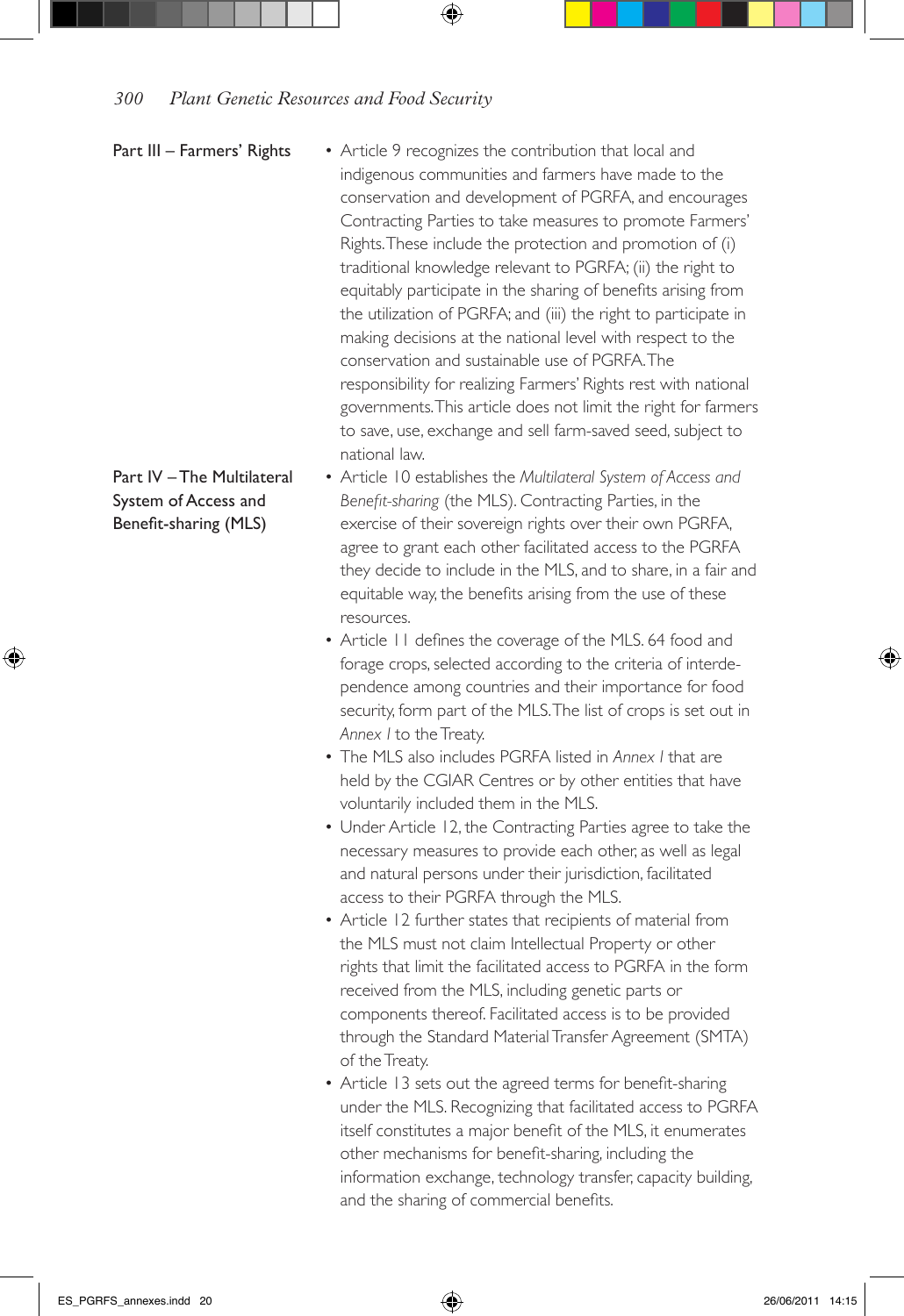| Part III - Farmers' Rights | • Article 9 recognizes the contribution that local and<br>indigenous communities and farmers have made to the<br>conservation and development of PGRFA, and encourages<br>Contracting Parties to take measures to promote Farmers'<br>Rights. These include the protection and promotion of (i)<br>traditional knowledge relevant to PGRFA; (ii) the right to<br>equitably participate in the sharing of benefits arising from<br>the utilization of PGRFA; and (iii) the right to participate in<br>making decisions at the national level with respect to the<br>conservation and sustainable use of PGRFA. The<br>responsibility for realizing Farmers' Rights rest with national |
|----------------------------|--------------------------------------------------------------------------------------------------------------------------------------------------------------------------------------------------------------------------------------------------------------------------------------------------------------------------------------------------------------------------------------------------------------------------------------------------------------------------------------------------------------------------------------------------------------------------------------------------------------------------------------------------------------------------------------|
|                            | governments. This article does not limit the right for farmers<br>to save, use, exchange and sell farm-saved seed, subject to<br>national law.                                                                                                                                                                                                                                                                                                                                                                                                                                                                                                                                       |

- Part IV The Multilateral Article 10 establishes the *Multilateral System of Access and* System of Access and *Benefit-sharing* (the MLS). Contracting Parties, in the Benefit-sharing (MLS) exercise of their sovereign rights over their own PGRFA, agree to grant each other facilitated access to the PGRFA they decide to include in the MLS, and to share, in a fair and equitable way, the benefits arising from the use of these resources.
	- Article 11 defines the coverage of the MLS. 64 food and forage crops, selected according to the criteria of interdependence among countries and their importance for food security, form part of the MLS. The list of crops is set out in *Annex I* to the Treaty.
	- The MLS also includes PGRFA listed in *Annex I* that are held by the CGIAR Centres or by other entities that have voluntarily included them in the MLS.
	- Under Article 12, the Contracting Parties agree to take the necessary measures to provide each other, as well as legal and natural persons under their jurisdiction, facilitated access to their PGRFA through the MLS.
	- Article 12 further states that recipients of material from the MLS must not claim Intellectual Property or other rights that limit the facilitated access to PGRFA in the form received from the MLS, including genetic parts or components thereof. Facilitated access is to be provided through the Standard Material Transfer Agreement (SMTA) of the Treaty.
	- Article 13 sets out the agreed terms for benefit-sharing under the MLS. Recognizing that facilitated access to PGRFA itself constitutes a major benefit of the MLS, it enumerates other mechanisms for benefit-sharing, including the information exchange, technology transfer, capacity building, and the sharing of commercial benefits.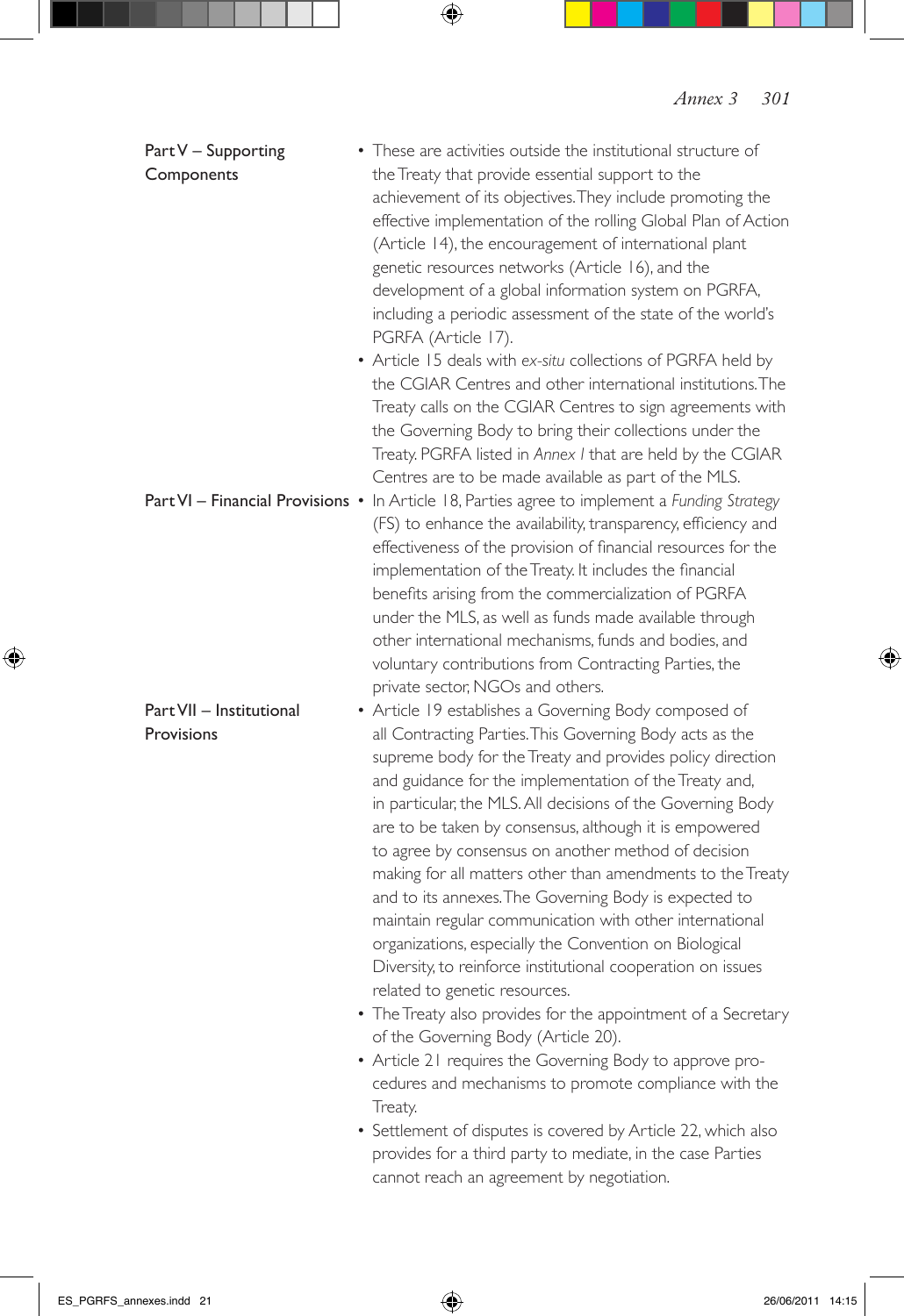| Part V - Supporting<br>Components      | • These are activities outside the institutional structure of<br>the Treaty that provide essential support to the<br>achievement of its objectives. They include promoting the<br>effective implementation of the rolling Global Plan of Action<br>(Article 14), the encouragement of international plant<br>genetic resources networks (Article 16), and the<br>development of a global information system on PGRFA,<br>including a periodic assessment of the state of the world's<br>PGRFA (Article 17).<br>• Article 15 deals with ex-situ collections of PGRFA held by<br>the CGIAR Centres and other international institutions. The<br>Treaty calls on the CGIAR Centres to sign agreements with<br>the Governing Body to bring their collections under the<br>Treaty. PGRFA listed in Annex I that are held by the CGIAR<br>Centres are to be made available as part of the MLS.                                                                                                                                                                                                                                                                                                 |
|----------------------------------------|------------------------------------------------------------------------------------------------------------------------------------------------------------------------------------------------------------------------------------------------------------------------------------------------------------------------------------------------------------------------------------------------------------------------------------------------------------------------------------------------------------------------------------------------------------------------------------------------------------------------------------------------------------------------------------------------------------------------------------------------------------------------------------------------------------------------------------------------------------------------------------------------------------------------------------------------------------------------------------------------------------------------------------------------------------------------------------------------------------------------------------------------------------------------------------------|
|                                        | Part VI - Financial Provisions • In Article 18, Parties agree to implement a Funding Strategy<br>(FS) to enhance the availability, transparency, efficiency and<br>effectiveness of the provision of financial resources for the<br>implementation of the Treaty. It includes the financial<br>benefits arising from the commercialization of PGRFA<br>under the MLS, as well as funds made available through<br>other international mechanisms, funds and bodies, and<br>voluntary contributions from Contracting Parties, the<br>private sector, NGOs and others.                                                                                                                                                                                                                                                                                                                                                                                                                                                                                                                                                                                                                      |
| Part VII - Institutional<br>Provisions | • Article 19 establishes a Governing Body composed of<br>all Contracting Parties. This Governing Body acts as the<br>supreme body for the Treaty and provides policy direction<br>and guidance for the implementation of the Treaty and,<br>in particular, the MLS. All decisions of the Governing Body<br>are to be taken by consensus, although it is empowered<br>to agree by consensus on another method of decision<br>making for all matters other than amendments to the Treaty<br>and to its annexes. The Governing Body is expected to<br>maintain regular communication with other international<br>organizations, especially the Convention on Biological<br>Diversity, to reinforce institutional cooperation on issues<br>related to genetic resources.<br>• The Treaty also provides for the appointment of a Secretary<br>of the Governing Body (Article 20).<br>• Article 21 requires the Governing Body to approve pro-<br>cedures and mechanisms to promote compliance with the<br>Treaty.<br>• Settlement of disputes is covered by Article 22, which also<br>provides for a third party to mediate, in the case Parties<br>cannot reach an agreement by negotiation. |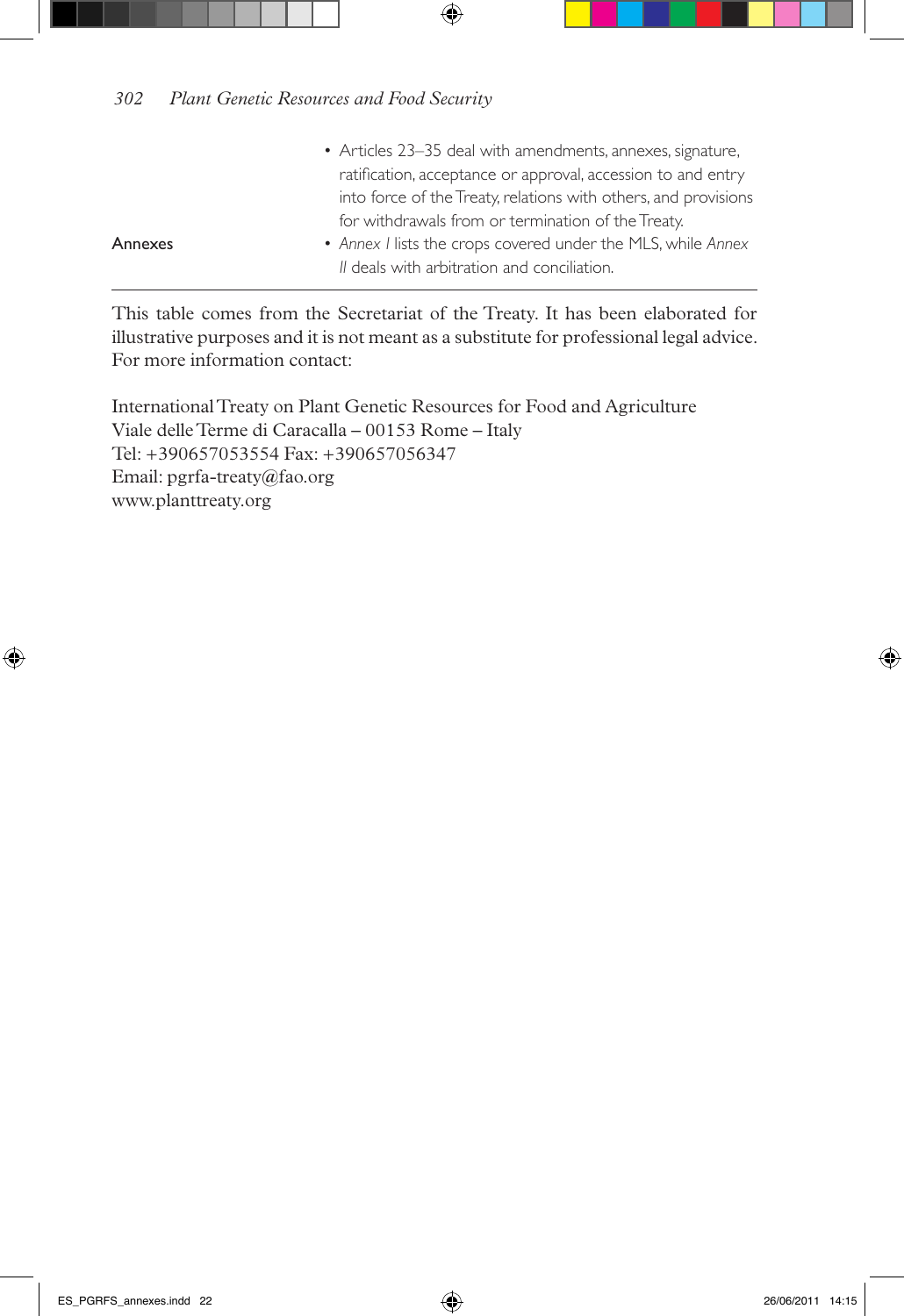#### *302 Plant Genetic Resources and Food Security*

|         | • Articles 23–35 deal with amendments, annexes, signature,<br>ratification, acceptance or approval, accession to and entry |
|---------|----------------------------------------------------------------------------------------------------------------------------|
|         | into force of the Treaty, relations with others, and provisions<br>for withdrawals from or termination of the Treaty.      |
| Annexes | • Annex I lists the crops covered under the MLS, while Annex<br>Il deals with arbitration and conciliation.                |

This table comes from the Secretariat of the Treaty. It has been elaborated for illustrative purposes and it is not meant as a substitute for professional legal advice. For more information contact:

International Treaty on Plant Genetic Resources for Food and Agriculture Viale delle Terme di Caracalla – 00153 Rome – Italy Tel: +390657053554 Fax: +390657056347 Email: pgrfa-treaty@fao.org www.planttreaty.org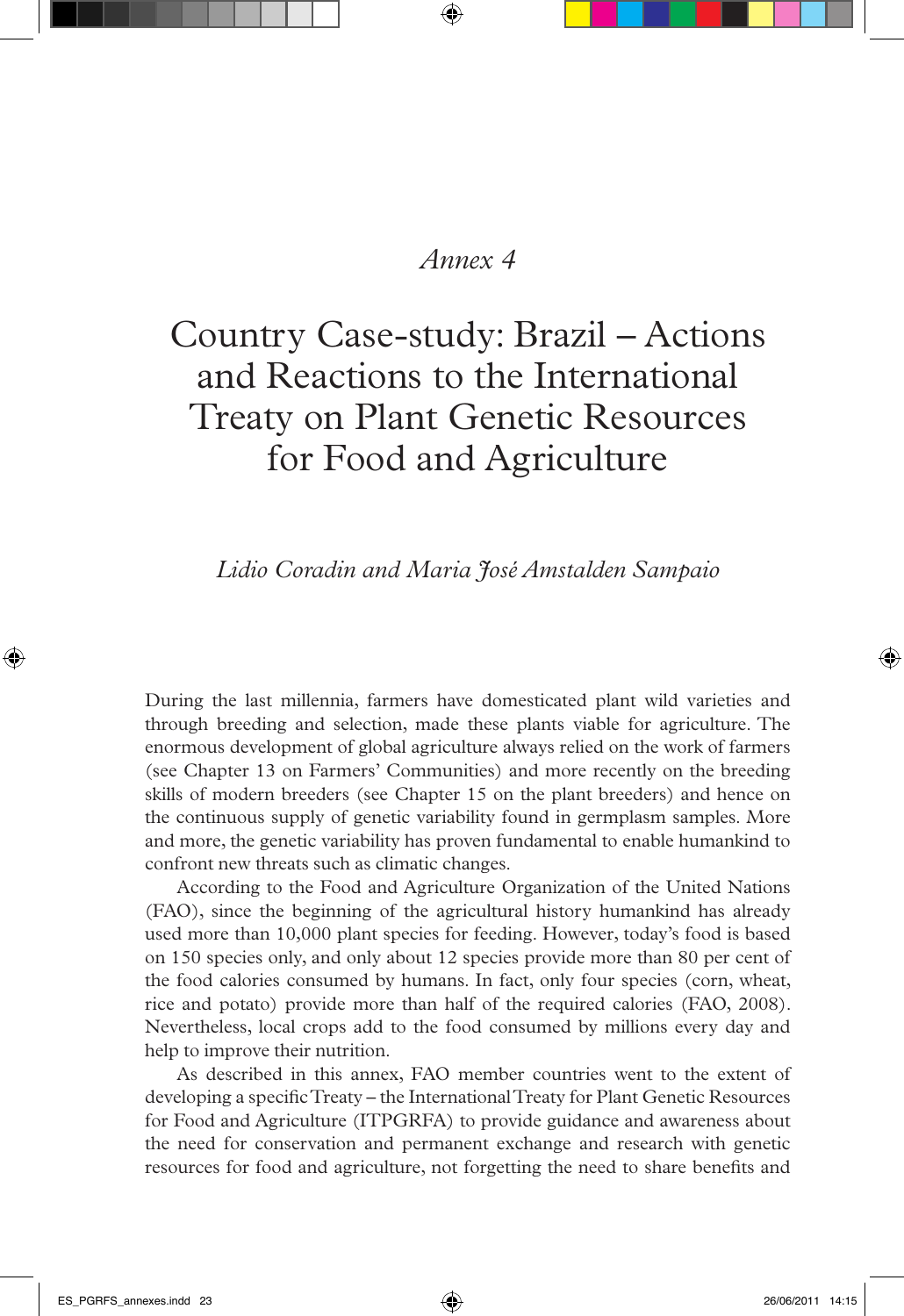### *Annex 4*

## Country Case-study: Brazil – Actions and Reactions to the International Treaty on Plant Genetic Resources for Food and Agriculture

#### *Lidio Coradin and Maria José Amstalden Sampaio*

During the last millennia, farmers have domesticated plant wild varieties and through breeding and selection, made these plants viable for agriculture. The enormous development of global agriculture always relied on the work of farmers (see Chapter 13 on Farmers' Communities) and more recently on the breeding skills of modern breeders (see Chapter 15 on the plant breeders) and hence on the continuous supply of genetic variability found in germplasm samples. More and more, the genetic variability has proven fundamental to enable humankind to confront new threats such as climatic changes.

According to the Food and Agriculture Organization of the United Nations (FAO), since the beginning of the agricultural history humankind has already used more than 10,000 plant species for feeding. However, today's food is based on 150 species only, and only about 12 species provide more than 80 per cent of the food calories consumed by humans. In fact, only four species (corn, wheat, rice and potato) provide more than half of the required calories (FAO, 2008). Nevertheless, local crops add to the food consumed by millions every day and help to improve their nutrition.

As described in this annex, FAO member countries went to the extent of developing a specific Treaty – the International Treaty for Plant Genetic Resources for Food and Agriculture (ITPGRFA) to provide guidance and awareness about the need for conservation and permanent exchange and research with genetic resources for food and agriculture, not forgetting the need to share benefits and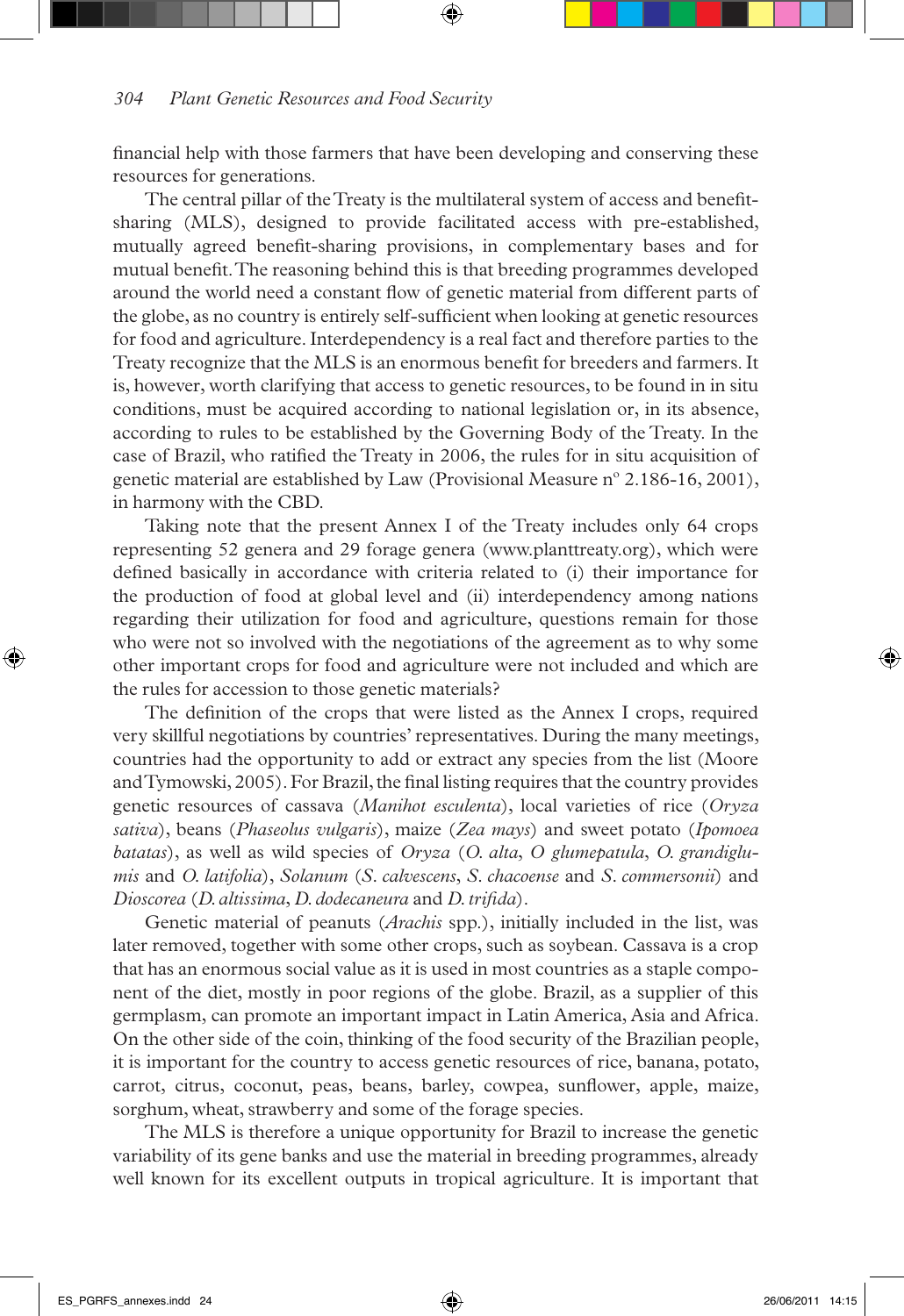financial help with those farmers that have been developing and conserving these resources for generations.

The central pillar of the Treaty is the multilateral system of access and benefitsharing (MLS), designed to provide facilitated access with pre-established, mutually agreed benefit-sharing provisions, in complementary bases and for mutual benefit. The reasoning behind this is that breeding programmes developed around the world need a constant flow of genetic material from different parts of the globe, as no country is entirely self-sufficient when looking at genetic resources for food and agriculture. Interdependency is a real fact and therefore parties to the Treaty recognize that the MLS is an enormous benefit for breeders and farmers. It is, however, worth clarifying that access to genetic resources, to be found in in situ conditions, must be acquired according to national legislation or, in its absence, according to rules to be established by the Governing Body of the Treaty. In the case of Brazil, who ratified the Treaty in 2006, the rules for in situ acquisition of genetic material are established by Law (Provisional Measure nº 2.186-16, 2001), in harmony with the CBD.

Taking note that the present Annex I of the Treaty includes only 64 crops representing 52 genera and 29 forage genera (www.planttreaty.org), which were defined basically in accordance with criteria related to (i) their importance for the production of food at global level and (ii) interdependency among nations regarding their utilization for food and agriculture, questions remain for those who were not so involved with the negotiations of the agreement as to why some other important crops for food and agriculture were not included and which are the rules for accession to those genetic materials?

The definition of the crops that were listed as the Annex I crops, required very skillful negotiations by countries' representatives. During the many meetings, countries had the opportunity to add or extract any species from the list (Moore and Tymowski, 2005). For Brazil, the final listing requires that the country provides genetic resources of cassava (*Manihot esculenta*), local varieties of rice (*Oryza sativa*), beans (*Phaseolus vulgaris*), maize (*Zea mays*) and sweet potato (*Ipomoea batatas*), as well as wild species of *Oryza* (*O. alta*, *O glumepatula*, *O. grandiglumis* and *O. latifolia*), *Solanum* (*S. calvescens*, *S. chacoense* and *S. commersonii*) and *Dioscorea* (*D. altissima*, *D. dodecaneura* and *D. trifida*).

Genetic material of peanuts (*Arachis* spp.), initially included in the list, was later removed, together with some other crops, such as soybean. Cassava is a crop that has an enormous social value as it is used in most countries as a staple component of the diet, mostly in poor regions of the globe. Brazil, as a supplier of this germplasm, can promote an important impact in Latin America, Asia and Africa. On the other side of the coin, thinking of the food security of the Brazilian people, it is important for the country to access genetic resources of rice, banana, potato, carrot, citrus, coconut, peas, beans, barley, cowpea, sunflower, apple, maize, sorghum, wheat, strawberry and some of the forage species.

The MLS is therefore a unique opportunity for Brazil to increase the genetic variability of its gene banks and use the material in breeding programmes, already well known for its excellent outputs in tropical agriculture. It is important that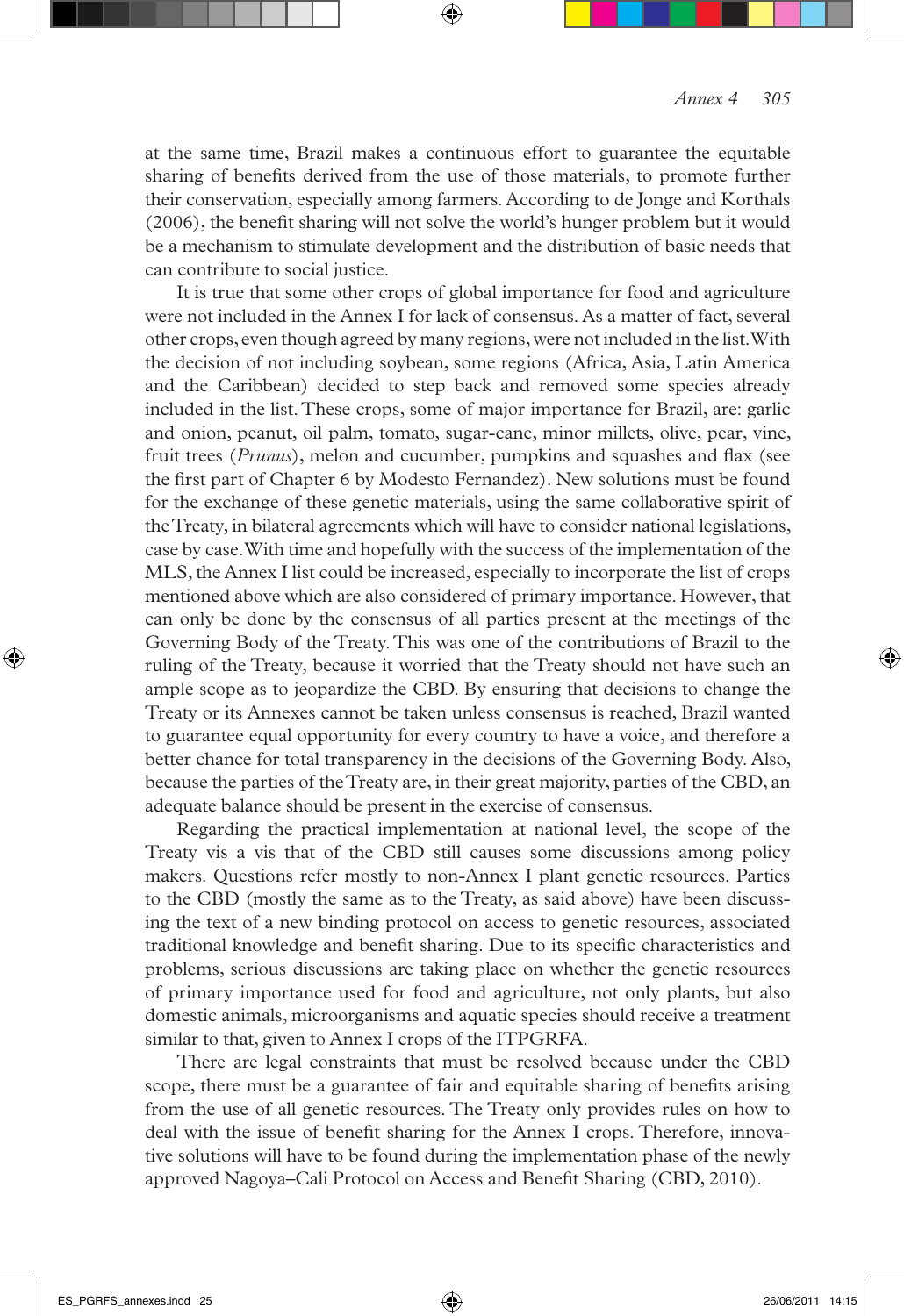at the same time, Brazil makes a continuous effort to guarantee the equitable sharing of benefits derived from the use of those materials, to promote further their conservation, especially among farmers. According to de Jonge and Korthals (2006), the benefit sharing will not solve the world's hunger problem but it would be a mechanism to stimulate development and the distribution of basic needs that can contribute to social justice.

It is true that some other crops of global importance for food and agriculture were not included in the Annex I for lack of consensus. As a matter of fact, several other crops, even though agreed by many regions, were not included in the list. With the decision of not including soybean, some regions (Africa, Asia, Latin America and the Caribbean) decided to step back and removed some species already included in the list. These crops, some of major importance for Brazil, are: garlic and onion, peanut, oil palm, tomato, sugar-cane, minor millets, olive, pear, vine, fruit trees (*Prunus*), melon and cucumber, pumpkins and squashes and flax (see the first part of Chapter 6 by Modesto Fernandez). New solutions must be found for the exchange of these genetic materials, using the same collaborative spirit of the Treaty, in bilateral agreements which will have to consider national legislations, case by case. With time and hopefully with the success of the implementation of the MLS, the Annex I list could be increased, especially to incorporate the list of crops mentioned above which are also considered of primary importance. However, that can only be done by the consensus of all parties present at the meetings of the Governing Body of the Treaty. This was one of the contributions of Brazil to the ruling of the Treaty, because it worried that the Treaty should not have such an ample scope as to jeopardize the CBD. By ensuring that decisions to change the Treaty or its Annexes cannot be taken unless consensus is reached, Brazil wanted to guarantee equal opportunity for every country to have a voice, and therefore a better chance for total transparency in the decisions of the Governing Body. Also, because the parties of the Treaty are, in their great majority, parties of the CBD, an adequate balance should be present in the exercise of consensus.

Regarding the practical implementation at national level, the scope of the Treaty vis a vis that of the CBD still causes some discussions among policy makers. Questions refer mostly to non-Annex I plant genetic resources. Parties to the CBD (mostly the same as to the Treaty, as said above) have been discussing the text of a new binding protocol on access to genetic resources, associated traditional knowledge and benefit sharing. Due to its specific characteristics and problems, serious discussions are taking place on whether the genetic resources of primary importance used for food and agriculture, not only plants, but also domestic animals, microorganisms and aquatic species should receive a treatment similar to that, given to Annex I crops of the ITPGRFA.

There are legal constraints that must be resolved because under the CBD scope, there must be a guarantee of fair and equitable sharing of benefits arising from the use of all genetic resources. The Treaty only provides rules on how to deal with the issue of benefit sharing for the Annex I crops. Therefore, innovative solutions will have to be found during the implementation phase of the newly approved Nagoya–Cali Protocol on Access and Benefit Sharing (CBD, 2010).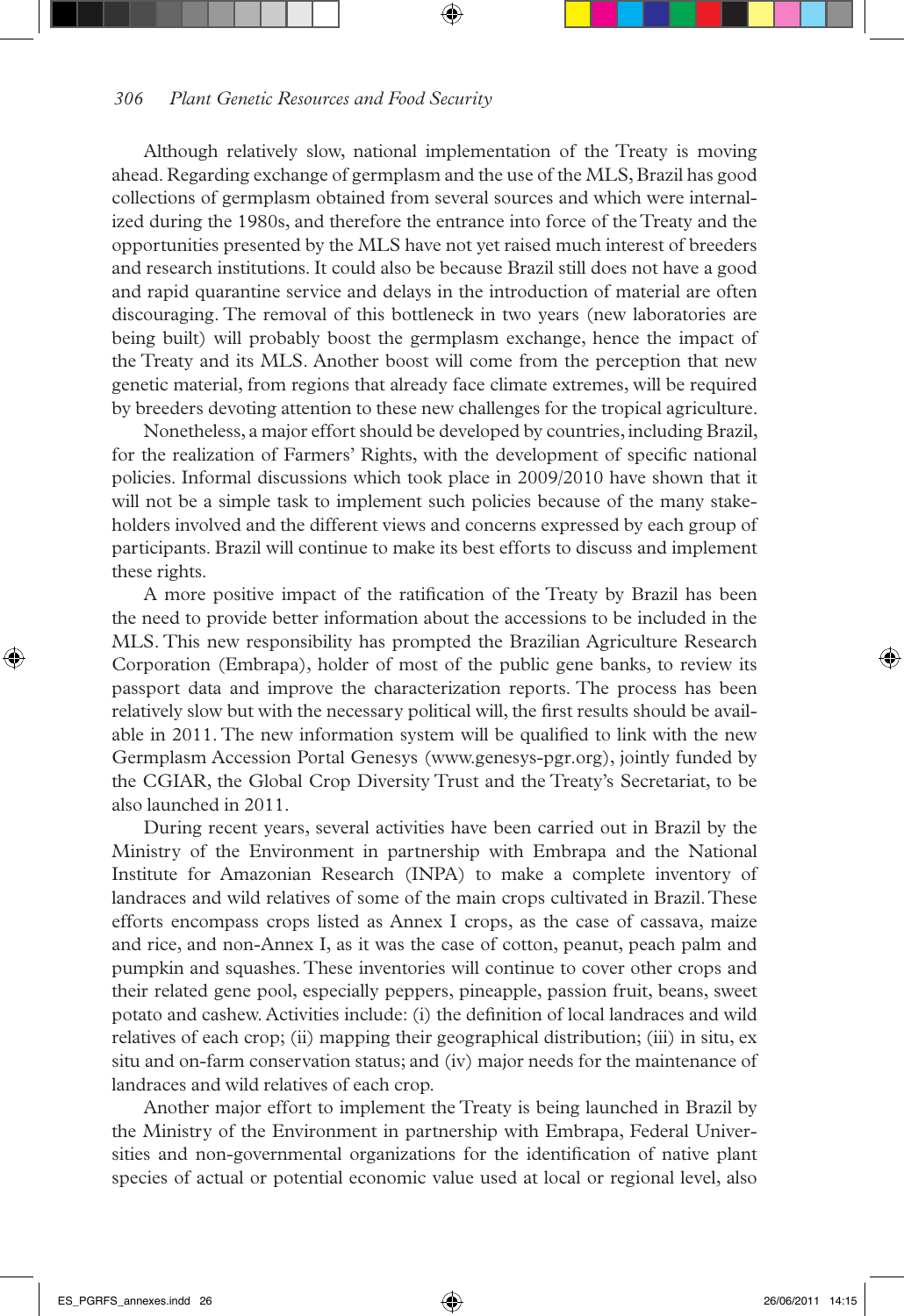Although relatively slow, national implementation of the Treaty is moving ahead. Regarding exchange of germplasm and the use of the MLS, Brazil has good collections of germplasm obtained from several sources and which were internalized during the 1980s, and therefore the entrance into force of the Treaty and the opportunities presented by the MLS have not yet raised much interest of breeders and research institutions. It could also be because Brazil still does not have a good and rapid quarantine service and delays in the introduction of material are often discouraging. The removal of this bottleneck in two years (new laboratories are being built) will probably boost the germplasm exchange, hence the impact of the Treaty and its MLS. Another boost will come from the perception that new genetic material, from regions that already face climate extremes, will be required by breeders devoting attention to these new challenges for the tropical agriculture.

Nonetheless, a major effort should be developed by countries, including Brazil, for the realization of Farmers' Rights, with the development of specific national policies. Informal discussions which took place in 2009/2010 have shown that it will not be a simple task to implement such policies because of the many stakeholders involved and the different views and concerns expressed by each group of participants. Brazil will continue to make its best efforts to discuss and implement these rights.

A more positive impact of the ratification of the Treaty by Brazil has been the need to provide better information about the accessions to be included in the MLS. This new responsibility has prompted the Brazilian Agriculture Research Corporation (Embrapa), holder of most of the public gene banks, to review its passport data and improve the characterization reports. The process has been relatively slow but with the necessary political will, the first results should be available in 2011. The new information system will be qualified to link with the new Germplasm Accession Portal Genesys (www.genesys-pgr.org), jointly funded by the CGIAR, the Global Crop Diversity Trust and the Treaty's Secretariat, to be also launched in 2011.

During recent years, several activities have been carried out in Brazil by the Ministry of the Environment in partnership with Embrapa and the National Institute for Amazonian Research (INPA) to make a complete inventory of landraces and wild relatives of some of the main crops cultivated in Brazil. These efforts encompass crops listed as Annex I crops, as the case of cassava, maize and rice, and non-Annex I, as it was the case of cotton, peanut, peach palm and pumpkin and squashes. These inventories will continue to cover other crops and their related gene pool, especially peppers, pineapple, passion fruit, beans, sweet potato and cashew. Activities include: (i) the definition of local landraces and wild relatives of each crop; (ii) mapping their geographical distribution; (iii) in situ, ex situ and on-farm conservation status; and (iv) major needs for the maintenance of landraces and wild relatives of each crop.

Another major effort to implement the Treaty is being launched in Brazil by the Ministry of the Environment in partnership with Embrapa, Federal Universities and non-governmental organizations for the identification of native plant species of actual or potential economic value used at local or regional level, also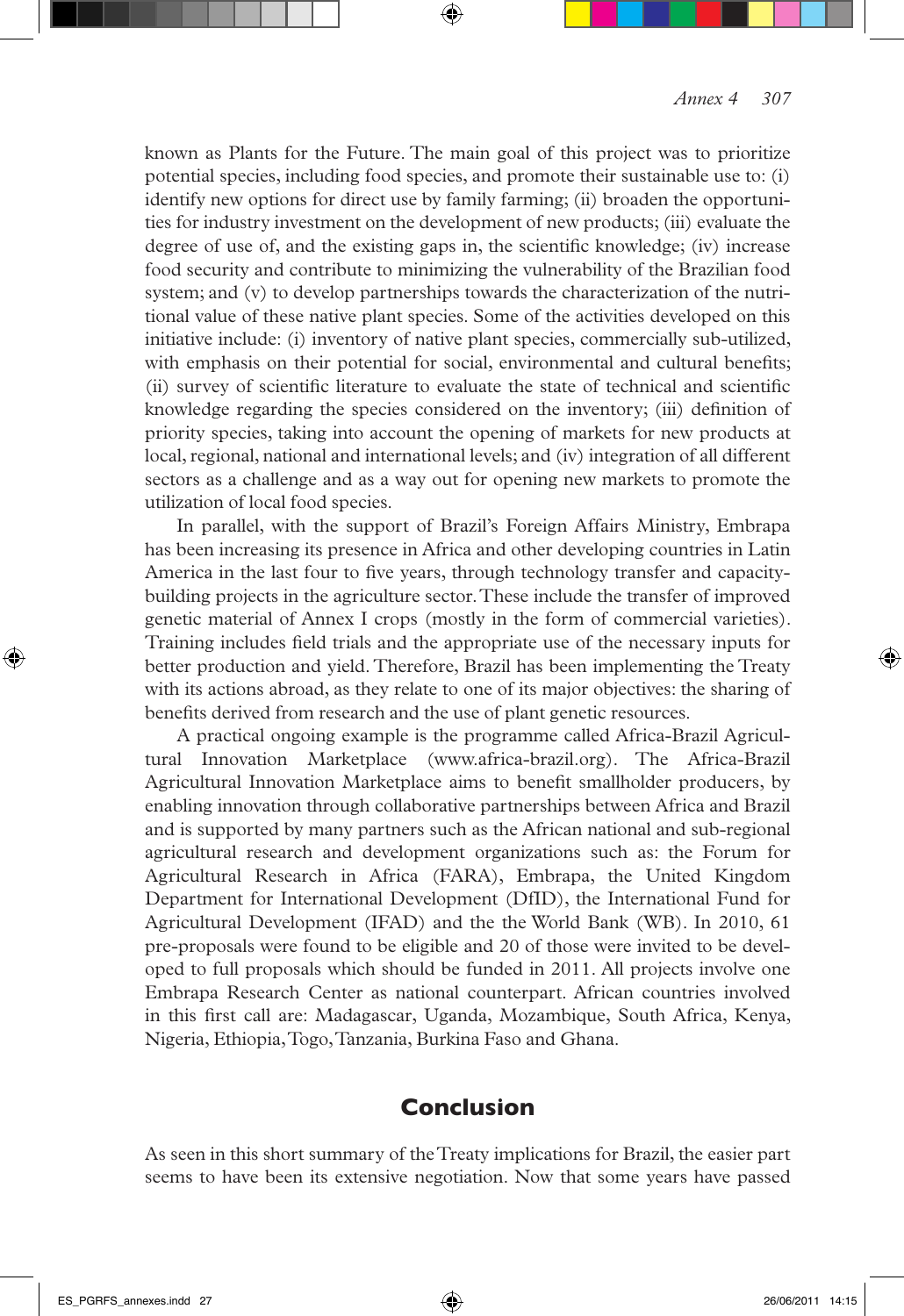known as Plants for the Future. The main goal of this project was to prioritize potential species, including food species, and promote their sustainable use to: (i) identify new options for direct use by family farming; (ii) broaden the opportunities for industry investment on the development of new products; (iii) evaluate the degree of use of, and the existing gaps in, the scientific knowledge; (iv) increase food security and contribute to minimizing the vulnerability of the Brazilian food system; and (v) to develop partnerships towards the characterization of the nutritional value of these native plant species. Some of the activities developed on this initiative include: (i) inventory of native plant species, commercially sub-utilized, with emphasis on their potential for social, environmental and cultural benefits; (ii) survey of scientific literature to evaluate the state of technical and scientific knowledge regarding the species considered on the inventory; (iii) definition of priority species, taking into account the opening of markets for new products at local, regional, national and international levels; and (iv) integration of all different sectors as a challenge and as a way out for opening new markets to promote the utilization of local food species.

In parallel, with the support of Brazil's Foreign Affairs Ministry, Embrapa has been increasing its presence in Africa and other developing countries in Latin America in the last four to five years, through technology transfer and capacitybuilding projects in the agriculture sector. These include the transfer of improved genetic material of Annex I crops (mostly in the form of commercial varieties). Training includes field trials and the appropriate use of the necessary inputs for better production and yield. Therefore, Brazil has been implementing the Treaty with its actions abroad, as they relate to one of its major objectives: the sharing of benefits derived from research and the use of plant genetic resources.

A practical ongoing example is the programme called Africa-Brazil Agricultural Innovation Marketplace (www.africa-brazil.org). The Africa-Brazil Agricultural Innovation Marketplace aims to benefit smallholder producers, by enabling innovation through collaborative partnerships between Africa and Brazil and is supported by many partners such as the African national and sub-regional agricultural research and development organizations such as: the Forum for Agricultural Research in Africa (FARA), Embrapa, the United Kingdom Department for International Development (DfID), the International Fund for Agricultural Development (IFAD) and the the World Bank (WB). In 2010, 61 pre-proposals were found to be eligible and 20 of those were invited to be developed to full proposals which should be funded in 2011. All projects involve one Embrapa Research Center as national counterpart. African countries involved in this first call are: Madagascar, Uganda, Mozambique, South Africa, Kenya, Nigeria, Ethiopia, Togo, Tanzania, Burkina Faso and Ghana.

#### **Conclusion**

As seen in this short summary of the Treaty implications for Brazil, the easier part seems to have been its extensive negotiation. Now that some years have passed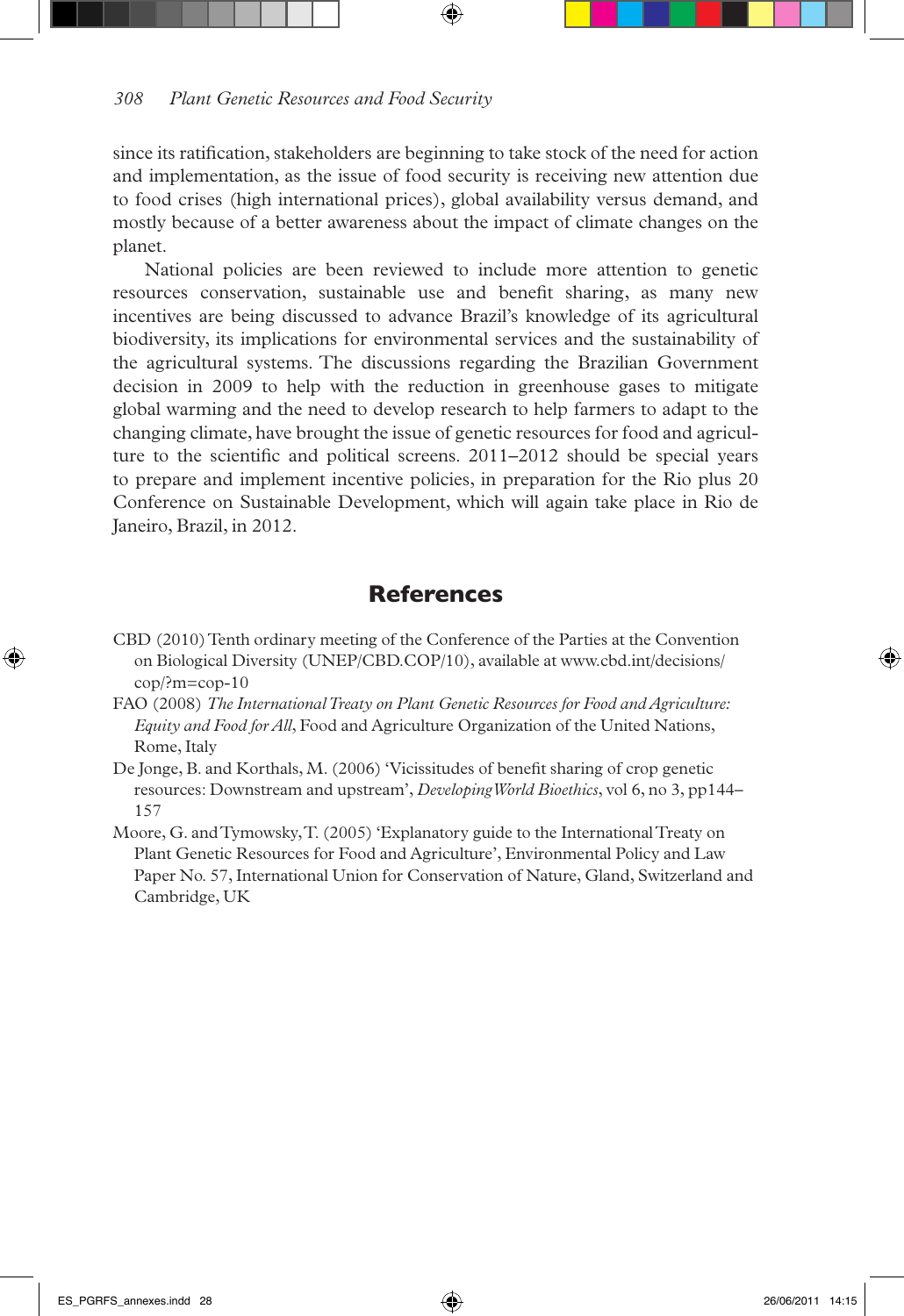since its ratification, stakeholders are beginning to take stock of the need for action and implementation, as the issue of food security is receiving new attention due to food crises (high international prices), global availability versus demand, and mostly because of a better awareness about the impact of climate changes on the planet.

National policies are been reviewed to include more attention to genetic resources conservation, sustainable use and benefit sharing, as many new incentives are being discussed to advance Brazil's knowledge of its agricultural biodiversity, its implications for environmental services and the sustainability of the agricultural systems. The discussions regarding the Brazilian Government decision in 2009 to help with the reduction in greenhouse gases to mitigate global warming and the need to develop research to help farmers to adapt to the changing climate, have brought the issue of genetic resources for food and agriculture to the scientific and political screens. 2011–2012 should be special years to prepare and implement incentive policies, in preparation for the Rio plus 20 Conference on Sustainable Development, which will again take place in Rio de Janeiro, Brazil, in 2012.

#### **References**

- CBD (2010) Tenth ordinary meeting of the Conference of the Parties at the Convention on Biological Diversity (UNEP/CBD.COP/10), available at www.cbd.int/decisions/ cop/?m=cop-10
- FAO (2008) *The International Treaty on Plant Genetic Resources for Food and Agriculture: Equity and Food for All*, Food and Agriculture Organization of the United Nations, Rome, Italy
- De Jonge, B. and Korthals, M. (2006) 'Vicissitudes of benefit sharing of crop genetic resources: Downstream and upstream', *Developing World Bioethics*, vol 6, no 3, pp144– 157
- Moore, G. and Tymowsky, T. (2005) 'Explanatory guide to the International Treaty on Plant Genetic Resources for Food and Agriculture', Environmental Policy and Law Paper No. 57, International Union for Conservation of Nature, Gland, Switzerland and Cambridge, UK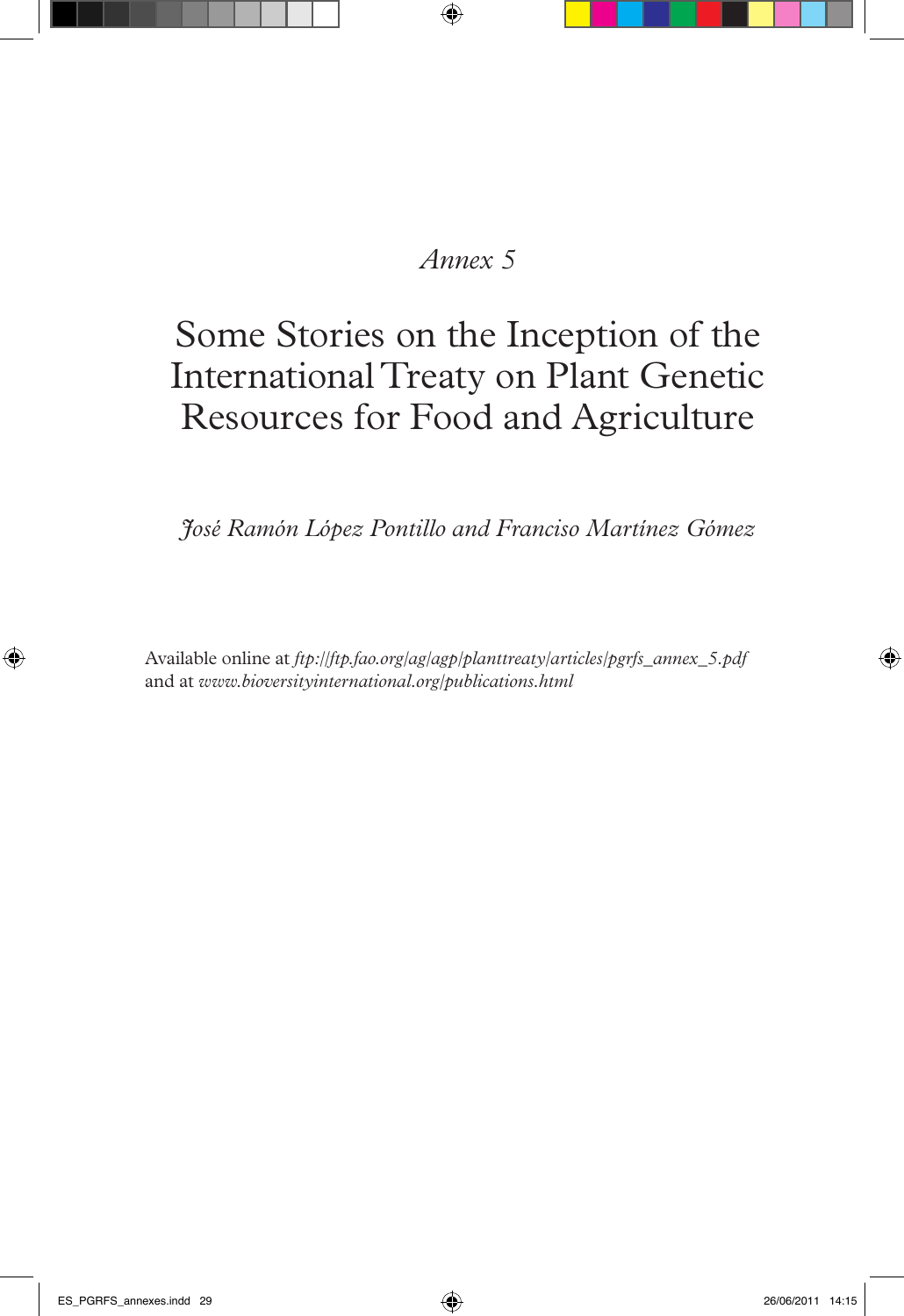### *Annex 5*

## Some Stories on the Inception of the International Treaty on Plant Genetic Resources for Food and Agriculture

*José Ramón López Pontillo and Franciso Martínez Gómez*

Available online at *ftp://ftp.fao.org/ag/agp/planttreaty/articles/pgrfs\_annex\_5.pdf*  and at *www.bioversityinternational.org/publications.html*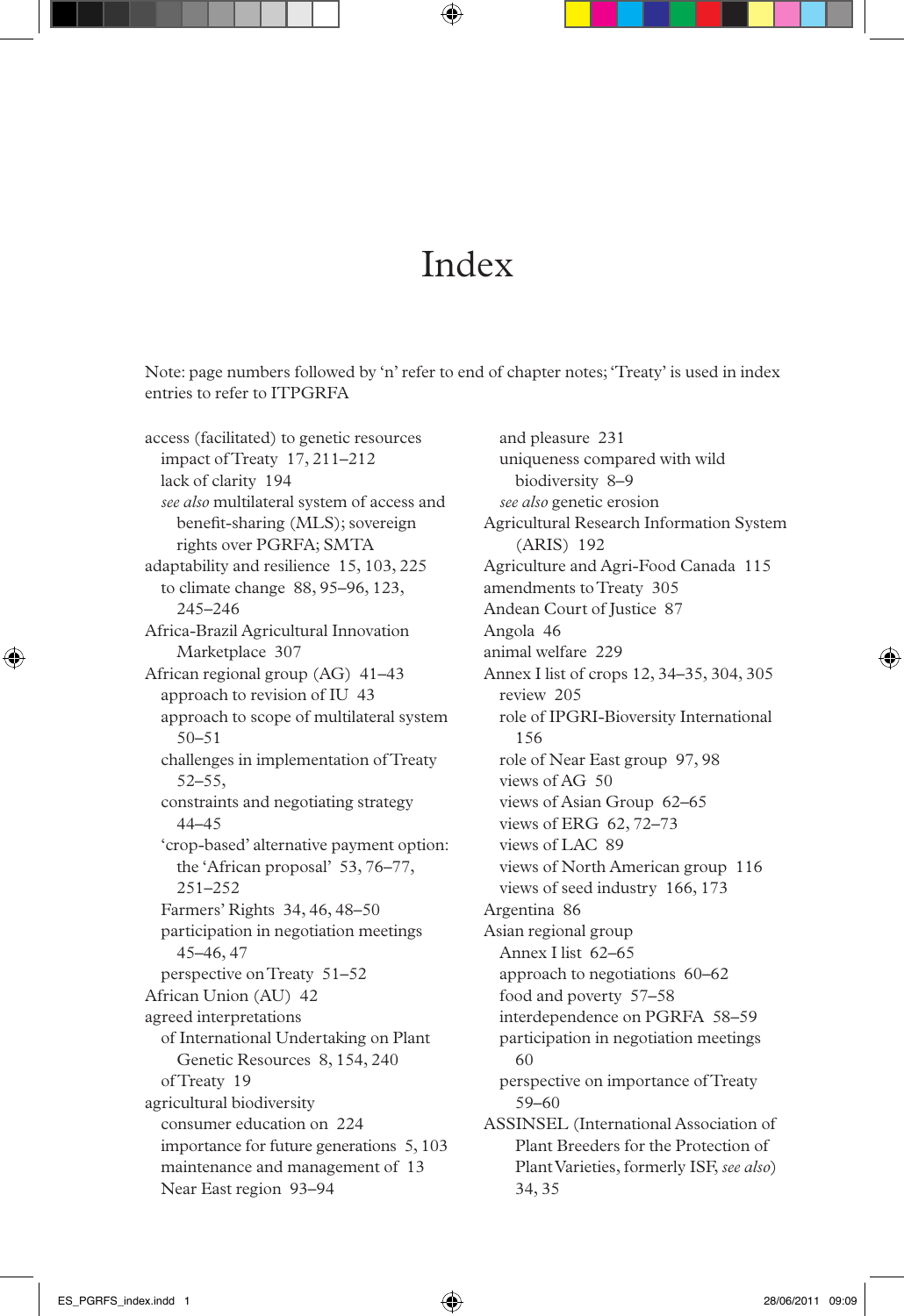## Index

Note: page numbers followed by 'n' refer to end of chapter notes; 'Treaty' is used in index entries to refer to ITPGRFA

access (facilitated) to genetic resources impact of Treaty 17, 211–212 lack of clarity 194 *see also* multilateral system of access and benefit-sharing (MLS); sovereign rights over PGRFA; SMTA adaptability and resilience 15, 103, 225 to climate change 88, 95–96, 123, 245–246 Africa-Brazil Agricultural Innovation Marketplace 307 African regional group (AG) 41–43 approach to revision of IU 43 approach to scope of multilateral system 50–51 challenges in implementation of Treaty 52–55, constraints and negotiating strategy 44–45 'crop-based' alternative payment option: the 'African proposal' 53, 76–77, 251–252 Farmers' Rights 34, 46, 48–50 participation in negotiation meetings 45–46, 47 perspective on Treaty 51–52 African Union (AU) 42 agreed interpretations of International Undertaking on Plant Genetic Resources 8, 154, 240 of Treaty 19 agricultural biodiversity consumer education on 224 importance for future generations 5, 103 maintenance and management of 13 Near East region 93–94

and pleasure 231 uniqueness compared with wild biodiversity 8–9 *see also* genetic erosion Agricultural Research Information System (ARIS) 192 Agriculture and Agri-Food Canada 115 amendments to Treaty 305 Andean Court of Justice 87 Angola 46 animal welfare 229 Annex I list of crops 12, 34–35, 304, 305 review 205 role of IPGRI-Bioversity International 156 role of Near East group 97, 98 views of AG 50 views of Asian Group 62–65 views of ERG 62, 72–73 views of LAC 89 views of North American group 116 views of seed industry 166, 173 Argentina 86 Asian regional group Annex I list 62–65 approach to negotiations 60–62 food and poverty 57–58 interdependence on PGRFA 58–59 participation in negotiation meetings 60 perspective on importance of Treaty 59–60 ASSINSEL (International Association of Plant Breeders for the Protection of Plant Varieties, formerly ISF, *see also*) 34, 35